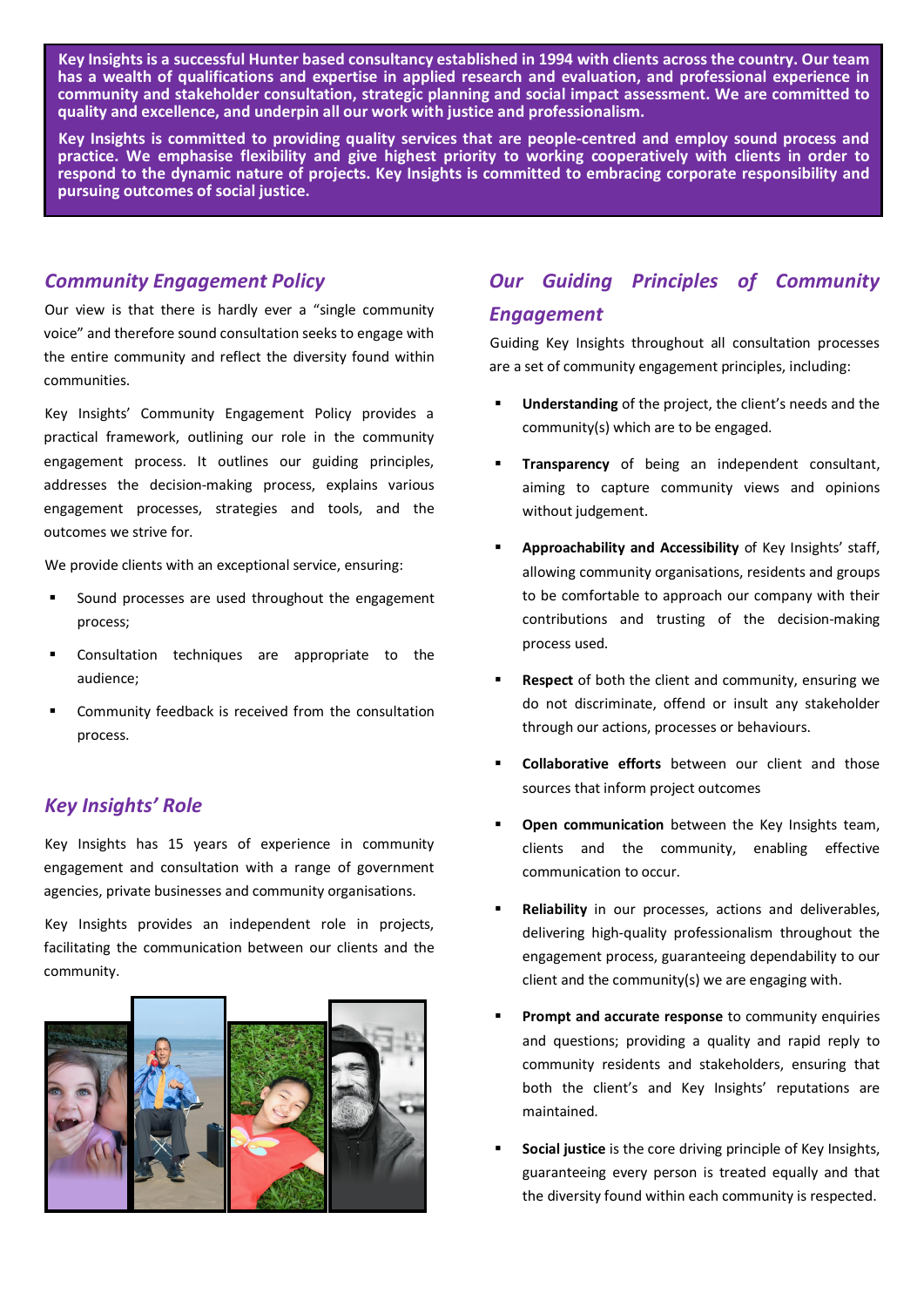**Key Insights is a successful Hunter based consultancy established in 1994 with clients across the country. Our team has a wealth of qualifications and expertise in applied research and evaluation, and professional experience in community and stakeholder consultation, strategic planning and social impact assessment. We are committed to quality and excellence, and underpin all our work with justice and professionalism.**

**Key Insights is committed to providing quality services that are people-centred and employ sound process and practice. We emphasise flexibility and give highest priority to working cooperatively with clients in order to respond to the dynamic nature of projects. Key Insights is committed to embracing corporate responsibility and pursuing outcomes of social justice.**

#### *Community Engagement Policy*

Our view is that there is hardly ever a "single community voice" and therefore sound consultation seeks to engage with the entire community and reflect the diversity found within communities.

Key Insights' Community Engagement Policy provides a practical framework, outlining our role in the community engagement process. It outlines our guiding principles, addresses the decision-making process, explains various engagement processes, strategies and tools, and the outcomes we strive for.

We provide clients with an exceptional service, ensuring:

- ß Sound processes are used throughout the engagement process;
- ß Consultation techniques are appropriate to the audience;
- ß Community feedback is received from the consultation process.

### *Key Insights' Role*

Key Insights has 15 years of experience in community engagement and consultation with a range of government agencies, private businesses and community organisations.

Key Insights provides an independent role in projects, facilitating the communication between our clients and the community.



# *Our Guiding Principles of Community Engagement*

Guiding Key Insights throughout all consultation processes are a set of community engagement principles, including:

- ß **Understanding** of the project, the client's needs and the community(s) which are to be engaged.
- **FIFRENT Transparency** of being an independent consultant, aiming to capture community views and opinions without judgement.
- ß **Approachability and Accessibility** of Key Insights' staff, allowing community organisations, residents and groups to be comfortable to approach our company with their contributions and trusting of the decision-making process used.
- ß **Respect** of both the client and community, ensuring we do not discriminate, offend or insult any stakeholder through our actions, processes or behaviours.
- ß **Collaborative efforts** between our client and those sources that inform project outcomes
- **Open communication** between the Key Insights team, clients and the community, enabling effective communication to occur.
- ß **Reliability** in our processes, actions and deliverables, delivering high-quality professionalism throughout the engagement process, guaranteeing dependability to our client and the community(s) we are engaging with.
- **Prompt and accurate response** to community enquiries and questions; providing a quality and rapid reply to community residents and stakeholders, ensuring that both the client's and Key Insights' reputations are maintained.
- **Social justice** is the core driving principle of Key Insights, guaranteeing every person is treated equally and that the diversity found within each community is respected.